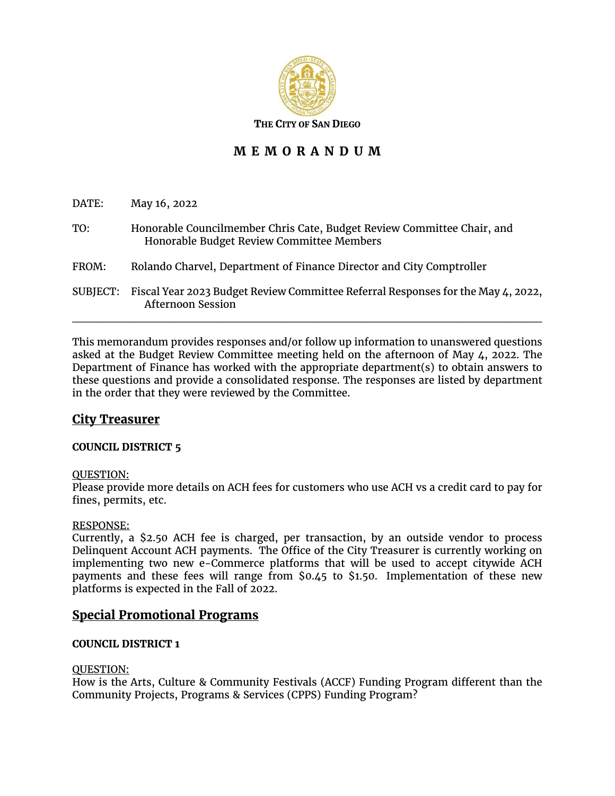

**THE CITY OF SAN DIEGO**

# **M E M O R A N D U M**

| DATE:    | May 16, 2022                                                                                                        |
|----------|---------------------------------------------------------------------------------------------------------------------|
| TO:      | Honorable Councilmember Chris Cate, Budget Review Committee Chair, and<br>Honorable Budget Review Committee Members |
| FROM:    | Rolando Charvel, Department of Finance Director and City Comptroller                                                |
| SUBJECT: | Fiscal Year 2023 Budget Review Committee Referral Responses for the May 4, 2022,<br><b>Afternoon Session</b>        |

This memorandum provides responses and/or follow up information to unanswered questions asked at the Budget Review Committee meeting held on the afternoon of May  $\mu$ , 2022. The Department of Finance has worked with the appropriate department(s) to obtain answers to these questions and provide a consolidated response. The responses are listed by department in the order that they were reviewed by the Committee.

# **City Treasurer**

## **COUNCIL DISTRICT 5**

#### QUESTION:

Please provide more details on ACH fees for customers who use ACH vs a credit card to pay for fines, permits, etc.

#### RESPONSE:

Currently, a \$2.50 ACH fee is charged, per transaction, by an outside vendor to process Delinquent Account ACH payments. The Office of the City Treasurer is currently working on implementing two new e-Commerce platforms that will be used to accept citywide ACH payments and these fees will range from \$0.45 to \$1.50. Implementation of these new platforms is expected in the Fall of 2022.

## **Special Promotional Programs**

## **COUNCIL DISTRICT 1**

#### QUESTION:

How is the Arts, Culture & Community Festivals (ACCF) Funding Program different than the Community Projects, Programs & Services (CPPS) Funding Program?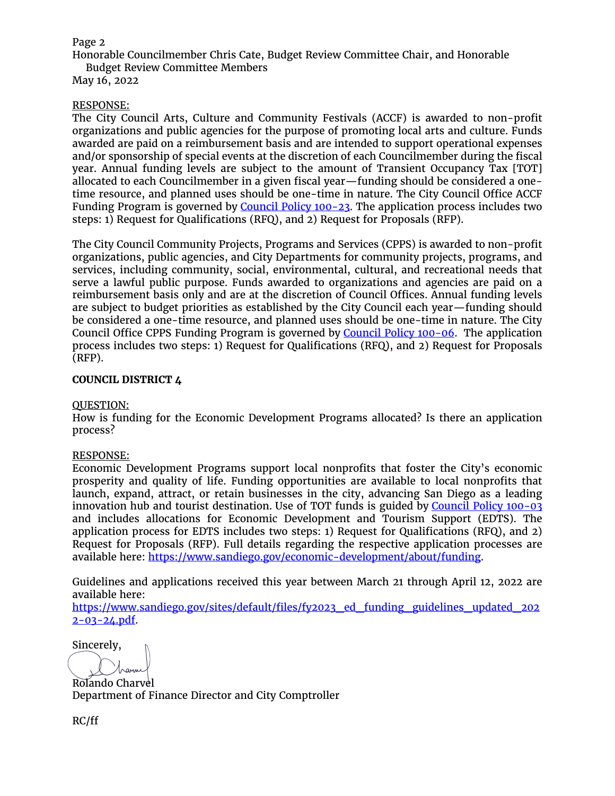### Page 2

Honorable Councilmember Chris Cate, Budget Review Committee Chair, and Honorable

Budget Review Committee Members

May 16, 2022

### RESPONSE:

The City Council Arts, Culture and Community Festivals (ACCF) is awarded to non-profit organizations and public agencies for the purpose of promoting local arts and culture. Funds awarded are paid on a reimbursement basis and are intended to support operational expenses and/or sponsorship of special events at the discretion of each Councilmember during the fiscal year. Annual funding levels are subject to the amount of Transient Occupancy Tax [TOT] allocated to each Councilmember in a given fiscal year—funding should be considered a onetime resource, and planned uses should be one-time in nature. The City Council Office ACCF Funding Program is governed by Council Policy 100-23. The application process includes two steps: 1) Request for Qualifications (RFQ), and 2) Request for Proposals (RFP).

The City Council Community Projects, Programs and Services (CPPS) is awarded to non-profit organizations, public agencies, and City Departments for community projects, programs, and services, including community, social, environmental, cultural, and recreational needs that serve a lawful public purpose. Funds awarded to organizations and agencies are paid on a reimbursement basis only and are at the discretion of Council Offices. Annual funding levels are subject to budget priorities as established by the City Council each year—funding should be considered a one-time resource, and planned uses should be one-time in nature. The City Council Office CPPS Funding Program is governed by Council Policy 100-06. The application process includes two steps: 1) Request for Qualifications (RFQ), and 2) Request for Proposals (RFP).

### **COUNCIL DISTRICT 4**

#### QUESTION:

How is funding for the Economic Development Programs allocated? Is there an application process?

#### RESPONSE:

Economic Development Programs support local nonprofits that foster the City's economic prosperity and quality of life. Funding opportunities are available to local nonprofits that launch, expand, attract, or retain businesses in the city, advancing San Diego as a leading innovation hub and tourist destination. Use of TOT funds is guided by Council Policy 100-03 and includes allocations for Economic Development and Tourism Support (EDTS). The application process for EDTS includes two steps: 1) Request for Qualifications (RFQ), and 2) Request for Proposals (RFP). Full details regarding the respective application processes are available here: https://www.sandiego.gov/economic-development/about/funding.

Guidelines and applications received this year between March 21 through April 12, 2022 are available here:

https://www.sandiego.gov/sites/default/files/fy2023\_ed\_funding\_guidelines\_updated\_202 2-03-24.pdf.

Sincerely,

Rolando Charvel Department of Finance Director and City Comptroller

RC/ff